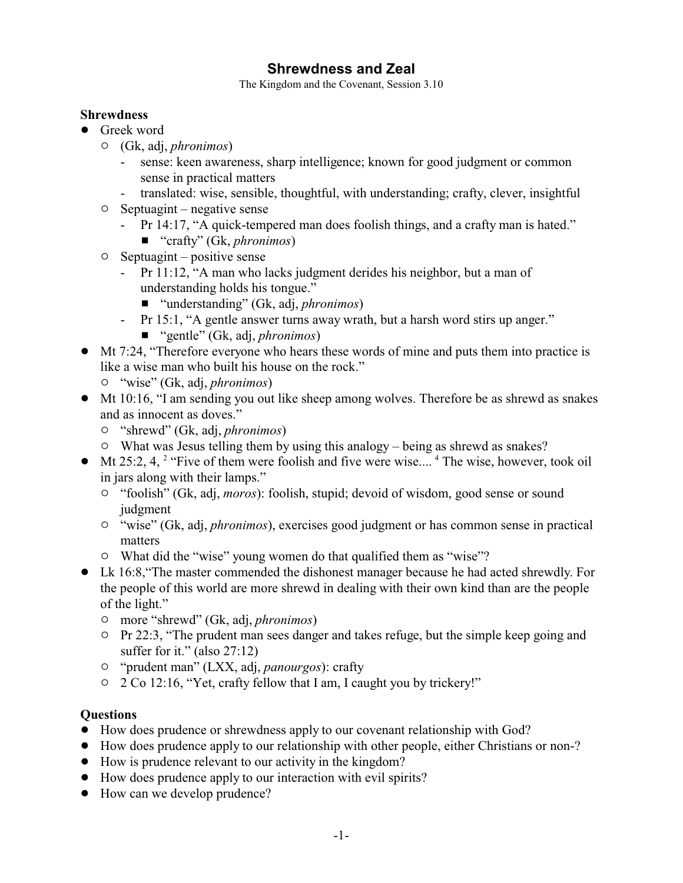# **Shrewdness and Zeal**

The Kingdom and the Covenant, Session 3.10

#### **Shrewdness**

- Greek word
	- " (Gk, adj, *phronimos*)
		- sense: keen awareness, sharp intelligence; known for good judgment or common sense in practical matters
		- translated: wise, sensible, thoughtful, with understanding; crafty, clever, insightful
	- $\circ$  Septuagint negative sense
		- Pr 14:17, "A quick-tempered man does foolish things, and a crafty man is hated."
			- "crafty" (Gk, *phronimos*)
	- $\circ$  Septuagint positive sense
		- Pr 11:12, "A man who lacks judgment derides his neighbor, but a man of understanding holds his tongue."
			- "understanding" (Gk, adj, *phronimos*)
		- Pr 15:1, "A gentle answer turns away wrath, but a harsh word stirs up anger."
			- "gentle" (Gk, adj, *phronimos*)
- ! Mt 7:24, "Therefore everyone who hears these words of mine and puts them into practice is like a wise man who built his house on the rock."
	- " "wise" (Gk, adj, *phronimos*)
- ! Mt 10:16, "I am sending you out like sheep among wolves. Therefore be as shrewd as snakes and as innocent as doves."
	- " "shrewd" (Gk, adj, *phronimos*)
	- $\circ$  What was Jesus telling them by using this analogy being as shrewd as snakes?
- $\bullet$  Mt 25:2, 4, <sup>2</sup> "Five of them were foolish and five were wise.... <sup>4</sup> The wise, however, took oil in jars along with their lamps."
	- <sup>o</sup> "foolish" (Gk, adj, *moros*): foolish, stupid; devoid of wisdom, good sense or sound judgment
	- " "wise" (Gk, adj, *phronimos*), exercises good judgment or has common sense in practical matters
	- $\circ$  What did the "wise" young women do that qualified them as "wise"?
- ! Lk 16:8,"The master commended the dishonest manager because he had acted shrewdly. For the people of this world are more shrewd in dealing with their own kind than are the people of the light."
	- " more "shrewd" (Gk, adj, *phronimos*)
	- $\circ$  Pr 22:3, "The prudent man sees danger and takes refuge, but the simple keep going and suffer for it." (also 27:12)
	- " "prudent man" (LXX, adj, *panourgos*): crafty
	- " 2 Co 12:16, "Yet, crafty fellow that I am, I caught you by trickery!"

### **Questions**

- ! How does prudence or shrewdness apply to our covenant relationship with God?
- ! How does prudence apply to our relationship with other people, either Christians or non-?
- ! How is prudence relevant to our activity in the kingdom?
- ! How does prudence apply to our interaction with evil spirits?
- How can we develop prudence?